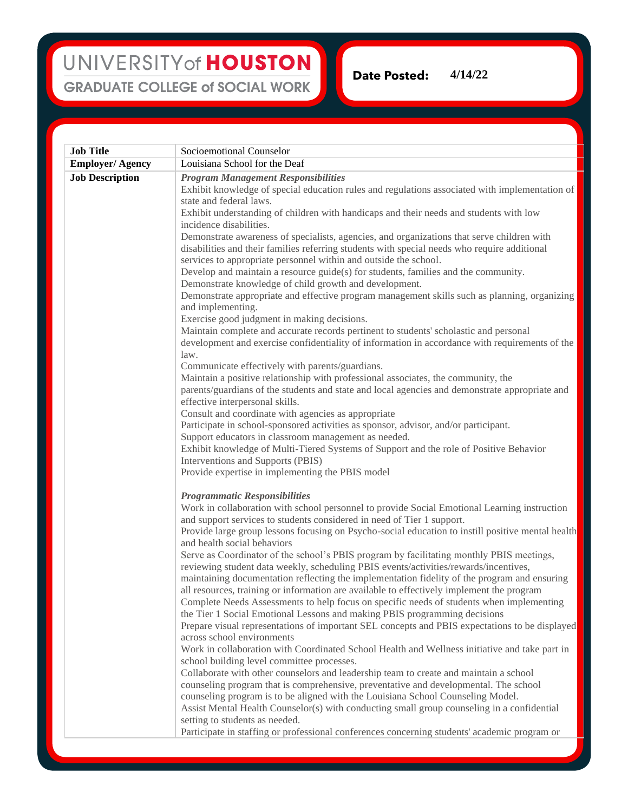## UNIVERSITY of HOUSTON **GRADUATE COLLEGE of SOCIAL WORK**

**Date Posted: 4/14/22**

| <b>Job Title</b>        | Socioemotional Counselor                                                                                                                                                                                                                                       |
|-------------------------|----------------------------------------------------------------------------------------------------------------------------------------------------------------------------------------------------------------------------------------------------------------|
|                         | Louisiana School for the Deaf                                                                                                                                                                                                                                  |
| <b>Employer/ Agency</b> |                                                                                                                                                                                                                                                                |
| <b>Job Description</b>  | <b>Program Management Responsibilities</b><br>Exhibit knowledge of special education rules and regulations associated with implementation of<br>state and federal laws.                                                                                        |
|                         | Exhibit understanding of children with handicaps and their needs and students with low<br>incidence disabilities.                                                                                                                                              |
|                         | Demonstrate awareness of specialists, agencies, and organizations that serve children with<br>disabilities and their families referring students with special needs who require additional<br>services to appropriate personnel within and outside the school. |
|                         | Develop and maintain a resource guide(s) for students, families and the community.                                                                                                                                                                             |
|                         | Demonstrate knowledge of child growth and development.<br>Demonstrate appropriate and effective program management skills such as planning, organizing<br>and implementing.                                                                                    |
|                         | Exercise good judgment in making decisions.                                                                                                                                                                                                                    |
|                         | Maintain complete and accurate records pertinent to students' scholastic and personal                                                                                                                                                                          |
|                         | development and exercise confidentiality of information in accordance with requirements of the                                                                                                                                                                 |
|                         | law.<br>Communicate effectively with parents/guardians.                                                                                                                                                                                                        |
|                         | Maintain a positive relationship with professional associates, the community, the                                                                                                                                                                              |
|                         | parents/guardians of the students and state and local agencies and demonstrate appropriate and<br>effective interpersonal skills.                                                                                                                              |
|                         | Consult and coordinate with agencies as appropriate                                                                                                                                                                                                            |
|                         | Participate in school-sponsored activities as sponsor, advisor, and/or participant.                                                                                                                                                                            |
|                         | Support educators in classroom management as needed.                                                                                                                                                                                                           |
|                         | Exhibit knowledge of Multi-Tiered Systems of Support and the role of Positive Behavior                                                                                                                                                                         |
|                         | Interventions and Supports (PBIS)<br>Provide expertise in implementing the PBIS model                                                                                                                                                                          |
|                         |                                                                                                                                                                                                                                                                |
|                         | <b>Programmatic Responsibilities</b>                                                                                                                                                                                                                           |
|                         | Work in collaboration with school personnel to provide Social Emotional Learning instruction<br>and support services to students considered in need of Tier 1 support.                                                                                         |
|                         | Provide large group lessons focusing on Psycho-social education to instill positive mental health<br>and health social behaviors                                                                                                                               |
|                         | Serve as Coordinator of the school's PBIS program by facilitating monthly PBIS meetings,                                                                                                                                                                       |
|                         | reviewing student data weekly, scheduling PBIS events/activities/rewards/incentives,<br>maintaining documentation reflecting the implementation fidelity of the program and ensuring                                                                           |
|                         | all resources, training or information are available to effectively implement the program                                                                                                                                                                      |
|                         | Complete Needs Assessments to help focus on specific needs of students when implementing                                                                                                                                                                       |
|                         | the Tier 1 Social Emotional Lessons and making PBIS programming decisions                                                                                                                                                                                      |
|                         | Prepare visual representations of important SEL concepts and PBIS expectations to be displayed<br>across school environments                                                                                                                                   |
|                         | Work in collaboration with Coordinated School Health and Wellness initiative and take part in<br>school building level committee processes.                                                                                                                    |
|                         | Collaborate with other counselors and leadership team to create and maintain a school                                                                                                                                                                          |
|                         | counseling program that is comprehensive, preventative and developmental. The school                                                                                                                                                                           |
|                         | counseling program is to be aligned with the Louisiana School Counseling Model.<br>Assist Mental Health Counselor(s) with conducting small group counseling in a confidential                                                                                  |
|                         | setting to students as needed.                                                                                                                                                                                                                                 |
|                         | Participate in staffing or professional conferences concerning students' academic program or                                                                                                                                                                   |
|                         |                                                                                                                                                                                                                                                                |